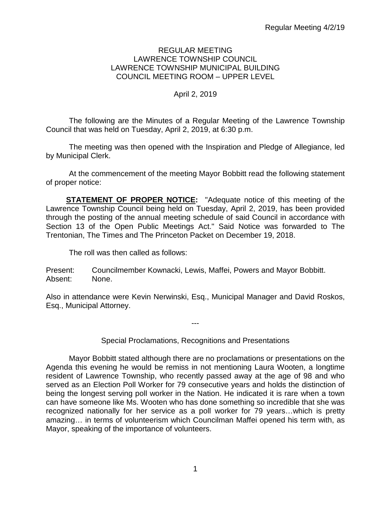#### REGULAR MEETING LAWRENCE TOWNSHIP COUNCIL LAWRENCE TOWNSHIP MUNICIPAL BUILDING COUNCIL MEETING ROOM – UPPER LEVEL

# April 2, 2019

The following are the Minutes of a Regular Meeting of the Lawrence Township Council that was held on Tuesday, April 2, 2019, at 6:30 p.m.

The meeting was then opened with the Inspiration and Pledge of Allegiance, led by Municipal Clerk.

At the commencement of the meeting Mayor Bobbitt read the following statement of proper notice:

**STATEMENT OF PROPER NOTICE:** "Adequate notice of this meeting of the Lawrence Township Council being held on Tuesday, April 2, 2019, has been provided through the posting of the annual meeting schedule of said Council in accordance with Section 13 of the Open Public Meetings Act." Said Notice was forwarded to The Trentonian, The Times and The Princeton Packet on December 19, 2018.

The roll was then called as follows:

Present: Councilmember Kownacki, Lewis, Maffei, Powers and Mayor Bobbitt. Absent: None.

Also in attendance were Kevin Nerwinski, Esq., Municipal Manager and David Roskos, Esq., Municipal Attorney.

Special Proclamations, Recognitions and Presentations

---

Mayor Bobbitt stated although there are no proclamations or presentations on the Agenda this evening he would be remiss in not mentioning Laura Wooten, a longtime resident of Lawrence Township, who recently passed away at the age of 98 and who served as an Election Poll Worker for 79 consecutive years and holds the distinction of being the longest serving poll worker in the Nation. He indicated it is rare when a town can have someone like Ms. Wooten who has done something so incredible that she was recognized nationally for her service as a poll worker for 79 years…which is pretty amazing… in terms of volunteerism which Councilman Maffei opened his term with, as Mayor, speaking of the importance of volunteers.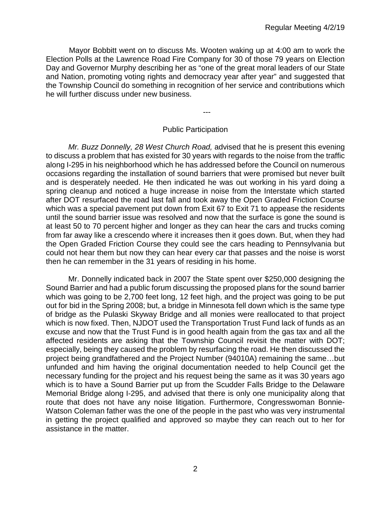Mayor Bobbitt went on to discuss Ms. Wooten waking up at 4:00 am to work the Election Polls at the Lawrence Road Fire Company for 30 of those 79 years on Election Day and Governor Murphy describing her as "one of the great moral leaders of our State and Nation, promoting voting rights and democracy year after year" and suggested that the Township Council do something in recognition of her service and contributions which he will further discuss under new business.

## Public Participation

---

*Mr. Buzz Donnelly, 28 West Church Road,* advised that he is present this evening to discuss a problem that has existed for 30 years with regards to the noise from the traffic along I-295 in his neighborhood which he has addressed before the Council on numerous occasions regarding the installation of sound barriers that were promised but never built and is desperately needed. He then indicated he was out working in his yard doing a spring cleanup and noticed a huge increase in noise from the Interstate which started after DOT resurfaced the road last fall and took away the Open Graded Friction Course which was a special pavement put down from Exit 67 to Exit 71 to appease the residents until the sound barrier issue was resolved and now that the surface is gone the sound is at least 50 to 70 percent higher and longer as they can hear the cars and trucks coming from far away like a crescendo where it increases then it goes down. But, when they had the Open Graded Friction Course they could see the cars heading to Pennsylvania but could not hear them but now they can hear every car that passes and the noise is worst then he can remember in the 31 years of residing in his home.

Mr. Donnelly indicated back in 2007 the State spent over \$250,000 designing the Sound Barrier and had a public forum discussing the proposed plans for the sound barrier which was going to be 2,700 feet long, 12 feet high, and the project was going to be put out for bid in the Spring 2008; but, a bridge in Minnesota fell down which is the same type of bridge as the Pulaski Skyway Bridge and all monies were reallocated to that project which is now fixed. Then, NJDOT used the Transportation Trust Fund lack of funds as an excuse and now that the Trust Fund is in good health again from the gas tax and all the affected residents are asking that the Township Council revisit the matter with DOT; especially, being they caused the problem by resurfacing the road. He then discussed the project being grandfathered and the Project Number (94010A) remaining the same…but unfunded and him having the original documentation needed to help Council get the necessary funding for the project and his request being the same as it was 30 years ago which is to have a Sound Barrier put up from the Scudder Falls Bridge to the Delaware Memorial Bridge along I-295, and advised that there is only one municipality along that route that does not have any noise litigation. Furthermore, Congresswoman Bonnie-Watson Coleman father was the one of the people in the past who was very instrumental in getting the project qualified and approved so maybe they can reach out to her for assistance in the matter.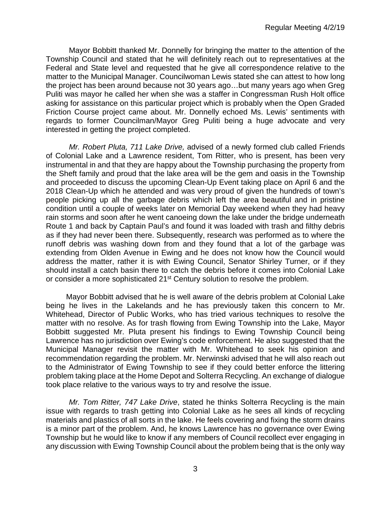Mayor Bobbitt thanked Mr. Donnelly for bringing the matter to the attention of the Township Council and stated that he will definitely reach out to representatives at the Federal and State level and requested that he give all correspondence relative to the matter to the Municipal Manager. Councilwoman Lewis stated she can attest to how long the project has been around because not 30 years ago…but many years ago when Greg Puliti was mayor he called her when she was a staffer in Congressman Rush Holt office asking for assistance on this particular project which is probably when the Open Graded Friction Course project came about. Mr. Donnelly echoed Ms. Lewis' sentiments with regards to former Councilman/Mayor Greg Puliti being a huge advocate and very interested in getting the project completed.

*Mr. Robert Pluta, 711 Lake Drive,* advised of a newly formed club called Friends of Colonial Lake and a Lawrence resident, Tom Ritter, who is present, has been very instrumental in and that they are happy about the Township purchasing the property from the Sheft family and proud that the lake area will be the gem and oasis in the Township and proceeded to discuss the upcoming Clean-Up Event taking place on April 6 and the 2018 Clean-Up which he attended and was very proud of given the hundreds of town's people picking up all the garbage debris which left the area beautiful and in pristine condition until a couple of weeks later on Memorial Day weekend when they had heavy rain storms and soon after he went canoeing down the lake under the bridge underneath Route 1 and back by Captain Paul's and found it was loaded with trash and filthy debris as if they had never been there. Subsequently, research was performed as to where the runoff debris was washing down from and they found that a lot of the garbage was extending from Olden Avenue in Ewing and he does not know how the Council would address the matter, rather it is with Ewing Council, Senator Shirley Turner, or if they should install a catch basin there to catch the debris before it comes into Colonial Lake or consider a more sophisticated 21st Century solution to resolve the problem.

Mayor Bobbitt advised that he is well aware of the debris problem at Colonial Lake being he lives in the Lakelands and he has previously taken this concern to Mr. Whitehead, Director of Public Works, who has tried various techniques to resolve the matter with no resolve. As for trash flowing from Ewing Township into the Lake, Mayor Bobbitt suggested Mr. Pluta present his findings to Ewing Township Council being Lawrence has no jurisdiction over Ewing's code enforcement. He also suggested that the Municipal Manager revisit the matter with Mr. Whitehead to seek his opinion and recommendation regarding the problem. Mr. Nerwinski advised that he will also reach out to the Administrator of Ewing Township to see if they could better enforce the littering problem taking place at the Home Depot and Solterra Recycling. An exchange of dialogue took place relative to the various ways to try and resolve the issue.

*Mr. Tom Ritter, 747 Lake Drive*, stated he thinks Solterra Recycling is the main issue with regards to trash getting into Colonial Lake as he sees all kinds of recycling materials and plastics of all sorts in the lake. He feels covering and fixing the storm drains is a minor part of the problem. And, he knows Lawrence has no governance over Ewing Township but he would like to know if any members of Council recollect ever engaging in any discussion with Ewing Township Council about the problem being that is the only way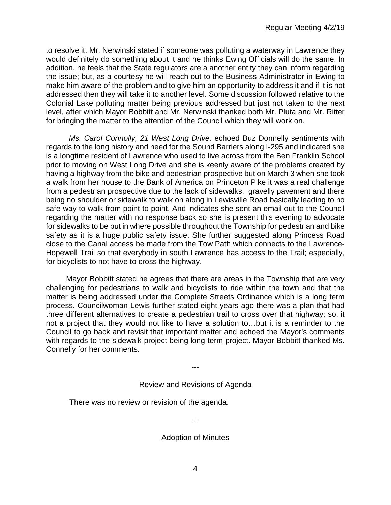to resolve it. Mr. Nerwinski stated if someone was polluting a waterway in Lawrence they would definitely do something about it and he thinks Ewing Officials will do the same. In addition, he feels that the State regulators are a another entity they can inform regarding the issue; but, as a courtesy he will reach out to the Business Administrator in Ewing to make him aware of the problem and to give him an opportunity to address it and if it is not addressed then they will take it to another level. Some discussion followed relative to the Colonial Lake polluting matter being previous addressed but just not taken to the next level, after which Mayor Bobbitt and Mr. Nerwinski thanked both Mr. Pluta and Mr. Ritter for bringing the matter to the attention of the Council which they will work on.

*Ms. Carol Connolly, 21 West Long Drive,* echoed Buz Donnelly sentiments with regards to the long history and need for the Sound Barriers along I-295 and indicated she is a longtime resident of Lawrence who used to live across from the Ben Franklin School prior to moving on West Long Drive and she is keenly aware of the problems created by having a highway from the bike and pedestrian prospective but on March 3 when she took a walk from her house to the Bank of America on Princeton Pike it was a real challenge from a pedestrian prospective due to the lack of sidewalks, gravelly pavement and there being no shoulder or sidewalk to walk on along in Lewisville Road basically leading to no safe way to walk from point to point. And indicates she sent an email out to the Council regarding the matter with no response back so she is present this evening to advocate for sidewalks to be put in where possible throughout the Township for pedestrian and bike safety as it is a huge public safety issue. She further suggested along Princess Road close to the Canal access be made from the Tow Path which connects to the Lawrence-Hopewell Trail so that everybody in south Lawrence has access to the Trail; especially, for bicyclists to not have to cross the highway.

Mayor Bobbitt stated he agrees that there are areas in the Township that are very challenging for pedestrians to walk and bicyclists to ride within the town and that the matter is being addressed under the Complete Streets Ordinance which is a long term process. Councilwoman Lewis further stated eight years ago there was a plan that had three different alternatives to create a pedestrian trail to cross over that highway; so, it not a project that they would not like to have a solution to…but it is a reminder to the Council to go back and revisit that important matter and echoed the Mayor's comments with regards to the sidewalk project being long-term project. Mayor Bobbitt thanked Ms. Connelly for her comments.

Review and Revisions of Agenda

---

There was no review or revision of the agenda.

---

Adoption of Minutes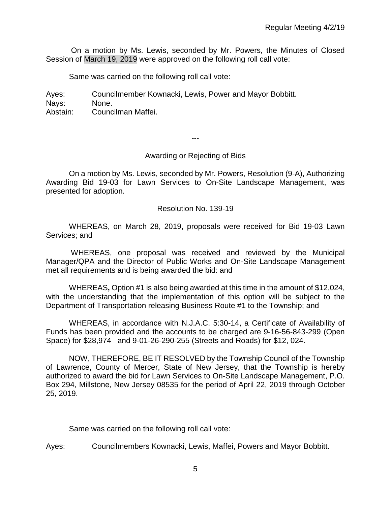On a motion by Ms. Lewis, seconded by Mr. Powers, the Minutes of Closed Session of March 19, 2019 were approved on the following roll call vote:

Same was carried on the following roll call vote:

Ayes: Councilmember Kownacki, Lewis, Power and Mayor Bobbitt. Nays: None.

Abstain: Councilman Maffei.

---

#### Awarding or Rejecting of Bids

On a motion by Ms. Lewis, seconded by Mr. Powers, Resolution (9-A), Authorizing Awarding Bid 19-03 for Lawn Services to On-Site Landscape Management, was presented for adoption.

Resolution No. 139-19

WHEREAS, on March 28, 2019, proposals were received for Bid 19-03 Lawn Services; and

WHEREAS, one proposal was received and reviewed by the Municipal Manager/QPA and the Director of Public Works and On-Site Landscape Management met all requirements and is being awarded the bid: and

WHEREAS**,** Option #1 is also being awarded at this time in the amount of \$12,024, with the understanding that the implementation of this option will be subject to the Department of Transportation releasing Business Route #1 to the Township; and

WHEREAS, in accordance with N.J.A.C. 5:30-14, a Certificate of Availability of Funds has been provided and the accounts to be charged are 9-16-56-843-299 (Open Space) for \$28,974 and 9-01-26-290-255 (Streets and Roads) for \$12, 024.

NOW, THEREFORE, BE IT RESOLVED by the Township Council of the Township of Lawrence, County of Mercer, State of New Jersey, that the Township is hereby authorized to award the bid for Lawn Services to On-Site Landscape Management, P.O. Box 294, Millstone, New Jersey 08535 for the period of April 22, 2019 through October 25, 2019.

Same was carried on the following roll call vote:

Ayes: Councilmembers Kownacki, Lewis, Maffei, Powers and Mayor Bobbitt.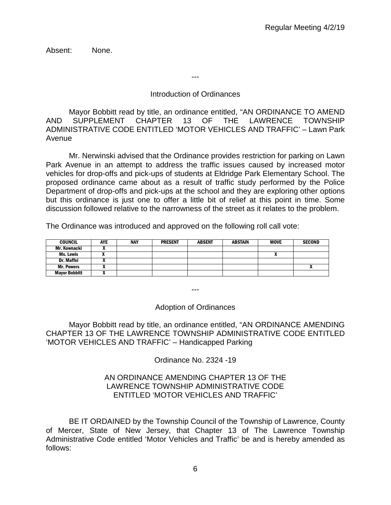Absent: None.

Introduction of Ordinances

---

Mayor Bobbitt read by title, an ordinance entitled, "AN ORDINANCE TO AMEND AND SUPPLEMENT CHAPTER 13 OF THE LAWRENCE TOWNSHIP ADMINISTRATIVE CODE ENTITLED 'MOTOR VEHICLES AND TRAFFIC' – Lawn Park Avenue

Mr. Nerwinski advised that the Ordinance provides restriction for parking on Lawn Park Avenue in an attempt to address the traffic issues caused by increased motor vehicles for drop-offs and pick-ups of students at Eldridge Park Elementary School. The proposed ordinance came about as a result of traffic study performed by the Police Department of drop-offs and pick-ups at the school and they are exploring other options but this ordinance is just one to offer a little bit of relief at this point in time. Some discussion followed relative to the narrowness of the street as it relates to the problem.

The Ordinance was introduced and approved on the following roll call vote:

| <b>COUNCIL</b>       | <b>AYE</b> | NAY | <b>PRESENT</b> | <b>ABSENT</b> | <b>ABSTAIN</b> | <b>MOVE</b> | <b>SECOND</b> |
|----------------------|------------|-----|----------------|---------------|----------------|-------------|---------------|
| Mr. Kownacki         |            |     |                |               |                |             |               |
| Ms. Lewis            |            |     |                |               |                | ,,          |               |
| <b>Dr. Maffei</b>    |            |     |                |               |                |             |               |
| <b>Mr. Powers</b>    | ~          |     |                |               |                |             | $\mathbf{r}$  |
| <b>Mayor Bobbitt</b> | . .        |     |                |               |                |             |               |

---

#### Adoption of Ordinances

Mayor Bobbitt read by title, an ordinance entitled, "AN ORDINANCE AMENDING CHAPTER 13 OF THE LAWRENCE TOWNSHIP ADMINISTRATIVE CODE ENTITLED 'MOTOR VEHICLES AND TRAFFIC' – Handicapped Parking

Ordinance No. 2324 -19

#### AN ORDINANCE AMENDING CHAPTER 13 OF THE LAWRENCE TOWNSHIP ADMINISTRATIVE CODE ENTITLED 'MOTOR VEHICLES AND TRAFFIC'

BE IT ORDAINED by the Township Council of the Township of Lawrence, County of Mercer, State of New Jersey, that Chapter 13 of The Lawrence Township Administrative Code entitled 'Motor Vehicles and Traffic' be and is hereby amended as follows: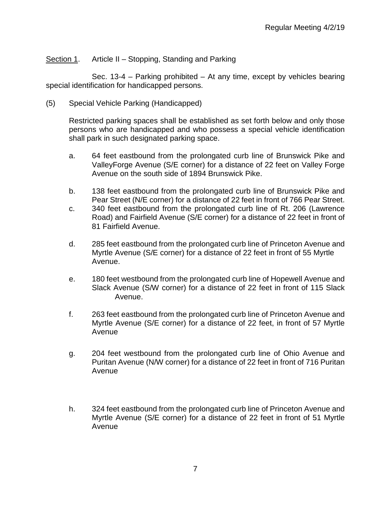# Section 1. Article II – Stopping, Standing and Parking

Sec. 13-4 – Parking prohibited – At any time, except by vehicles bearing special identification for handicapped persons.

(5) Special Vehicle Parking (Handicapped)

Restricted parking spaces shall be established as set forth below and only those persons who are handicapped and who possess a special vehicle identification shall park in such designated parking space.

- a. 64 feet eastbound from the prolongated curb line of Brunswick Pike and ValleyForge Avenue (S/E corner) for a distance of 22 feet on Valley Forge Avenue on the south side of 1894 Brunswick Pike.
- b. 138 feet eastbound from the prolongated curb line of Brunswick Pike and Pear Street (N/E corner) for a distance of 22 feet in front of 766 Pear Street.
- c. 340 feet eastbound from the prolongated curb line of Rt. 206 (Lawrence Road) and Fairfield Avenue (S/E corner) for a distance of 22 feet in front of 81 Fairfield Avenue.
- d. 285 feet eastbound from the prolongated curb line of Princeton Avenue and Myrtle Avenue (S/E corner) for a distance of 22 feet in front of 55 Myrtle Avenue.
- e. 180 feet westbound from the prolongated curb line of Hopewell Avenue and Slack Avenue (S/W corner) for a distance of 22 feet in front of 115 Slack Avenue.
- f. 263 feet eastbound from the prolongated curb line of Princeton Avenue and Myrtle Avenue (S/E corner) for a distance of 22 feet, in front of 57 Myrtle Avenue
- g. 204 feet westbound from the prolongated curb line of Ohio Avenue and Puritan Avenue (N/W corner) for a distance of 22 feet in front of 716 Puritan Avenue
- h. 324 feet eastbound from the prolongated curb line of Princeton Avenue and Myrtle Avenue (S/E corner) for a distance of 22 feet in front of 51 Myrtle Avenue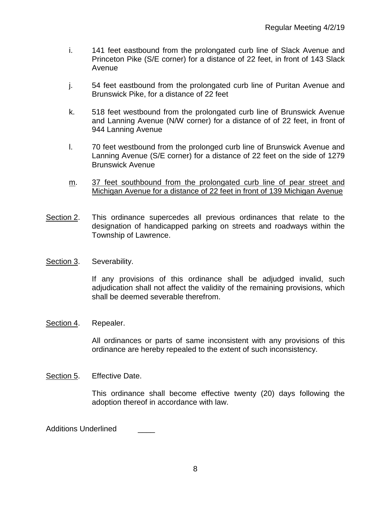- i. 141 feet eastbound from the prolongated curb line of Slack Avenue and Princeton Pike (S/E corner) for a distance of 22 feet, in front of 143 Slack Avenue
- j. 54 feet eastbound from the prolongated curb line of Puritan Avenue and Brunswick Pike, for a distance of 22 feet
- k. 518 feet westbound from the prolongated curb line of Brunswick Avenue and Lanning Avenue (N/W corner) for a distance of of 22 feet, in front of 944 Lanning Avenue
- l. 70 feet westbound from the prolonged curb line of Brunswick Avenue and Lanning Avenue (S/E corner) for a distance of 22 feet on the side of 1279 Brunswick Avenue
- m. 37 feet southbound from the prolongated curb line of pear street and Michigan Avenue for a distance of 22 feet in front of 139 Michigan Avenue
- Section 2. This ordinance supercedes all previous ordinances that relate to the designation of handicapped parking on streets and roadways within the Township of Lawrence.
- Section 3. Severability.

If any provisions of this ordinance shall be adjudged invalid, such adjudication shall not affect the validity of the remaining provisions, which shall be deemed severable therefrom.

Section 4. Repealer.

All ordinances or parts of same inconsistent with any provisions of this ordinance are hereby repealed to the extent of such inconsistency.

## Section 5. Effective Date.

This ordinance shall become effective twenty (20) days following the adoption thereof in accordance with law.

Additions Underlined \_\_\_\_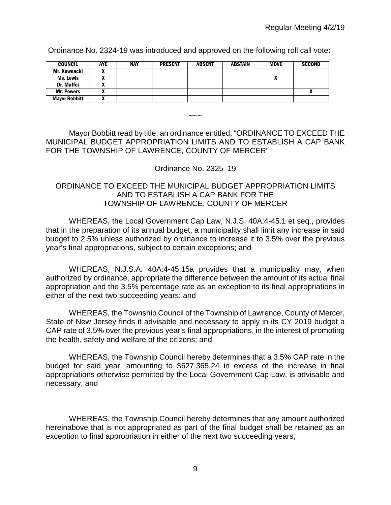Ordinance No. 2324-19 was introduced and approved on the following roll call vote:

| <b>COUNCIL</b>       | <b>AYE</b> | <b>NAY</b> | <b>PRESENT</b> | <b>ABSENT</b> | <b>ABSTAIN</b> | <b>MOVE</b> | <b>SECOND</b> |
|----------------------|------------|------------|----------------|---------------|----------------|-------------|---------------|
| Mr. Kownacki         |            |            |                |               |                |             |               |
| Ms. Lewis            |            |            |                |               |                | л           |               |
| <b>Dr. Maffei</b>    |            |            |                |               |                |             |               |
| <b>Mr. Powers</b>    | ,,,        |            |                |               |                |             | Λ             |
| <b>Mayor Bobbitt</b> | ,,,        |            |                |               |                |             |               |

 $\sim\sim\sim$ 

Mayor Bobbitt read by title, an ordinance entitled, "ORDINANCE TO EXCEED THE MUNICIPAL BUDGET APPROPRIATION LIMITS AND TO ESTABLISH A CAP BANK FOR THE TOWNSHIP OF LAWRENCE, COUNTY OF MERCER"

## Ordinance No. 2325–19

## ORDINANCE TO EXCEED THE MUNICIPAL BUDGET APPROPRIATION LIMITS AND TO ESTABLISH A CAP BANK FOR THE TOWNSHIP OF LAWRENCE, COUNTY OF MERCER

WHEREAS, the Local Government Cap Law, N.J.S. 40A:4-45.1 et seq., provides that in the preparation of its annual budget, a municipality shall limit any increase in said budget to 2.5% unless authorized by ordinance to increase it to 3.5% over the previous year's final appropriations, subject to certain exceptions; and

WHEREAS, N.J.S.A. 40A:4-45.15a provides that a municipality may, when authorized by ordinance, appropriate the difference between the amount of its actual final appropriation and the 3.5% percentage rate as an exception to its final appropriations in either of the next two succeeding years; and

WHEREAS, the Township Council of the Township of Lawrence, County of Mercer, State of New Jersey finds it advisable and necessary to apply in its CY 2019 budget a CAP rate of 3.5% over the previous year's final appropriations, in the interest of promoting the health, safety and welfare of the citizens; and

WHEREAS, the Township Council hereby determines that a 3.5% CAP rate in the budget for said year, amounting to \$627,365.24 in excess of the increase in final appropriations otherwise permitted by the Local Government Cap Law, is advisable and necessary; and

WHEREAS, the Township Council hereby determines that any amount authorized hereinabove that is not appropriated as part of the final budget shall be retained as an exception to final appropriation in either of the next two succeeding years;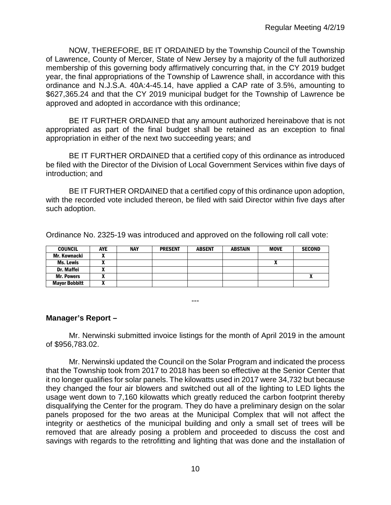NOW, THEREFORE, BE IT ORDAINED by the Township Council of the Township of Lawrence, County of Mercer, State of New Jersey by a majority of the full authorized membership of this governing body affirmatively concurring that, in the CY 2019 budget year, the final appropriations of the Township of Lawrence shall, in accordance with this ordinance and N.J.S.A. 40A:4-45.14, have applied a CAP rate of 3.5%, amounting to \$627,365.24 and that the CY 2019 municipal budget for the Township of Lawrence be approved and adopted in accordance with this ordinance;

BE IT FURTHER ORDAINED that any amount authorized hereinabove that is not appropriated as part of the final budget shall be retained as an exception to final appropriation in either of the next two succeeding years; and

BE IT FURTHER ORDAINED that a certified copy of this ordinance as introduced be filed with the Director of the Division of Local Government Services within five days of introduction; and

BE IT FURTHER ORDAINED that a certified copy of this ordinance upon adoption, with the recorded vote included thereon, be filed with said Director within five days after such adoption.

| Ordinance No. 2325-19 was introduced and approved on the following roll call vote: |  |  |  |
|------------------------------------------------------------------------------------|--|--|--|
|                                                                                    |  |  |  |

| <b>COUNCIL</b>       | <b>AYE</b> | <b>NAY</b> | <b>PRESENT</b> | <b>ABSENT</b> | <b>ABSTAIN</b> | <b>MOVE</b> | <b>SECOND</b> |
|----------------------|------------|------------|----------------|---------------|----------------|-------------|---------------|
| Mr. Kownacki         |            |            |                |               |                |             |               |
| Ms. Lewis            |            |            |                |               |                |             |               |
| Dr. Maffei           |            |            |                |               |                |             |               |
| <b>Mr. Powers</b>    |            |            |                |               |                |             |               |
| <b>Mayor Bobbitt</b> |            |            |                |               |                |             |               |

---

## **Manager's Report –**

Mr. Nerwinski submitted invoice listings for the month of April 2019 in the amount of \$956,783.02.

Mr. Nerwinski updated the Council on the Solar Program and indicated the process that the Township took from 2017 to 2018 has been so effective at the Senior Center that it no longer qualifies for solar panels. The kilowatts used in 2017 were 34,732 but because they changed the four air blowers and switched out all of the lighting to LED lights the usage went down to 7,160 kilowatts which greatly reduced the carbon footprint thereby disqualifying the Center for the program. They do have a preliminary design on the solar panels proposed for the two areas at the Municipal Complex that will not affect the integrity or aesthetics of the municipal building and only a small set of trees will be removed that are already posing a problem and proceeded to discuss the cost and savings with regards to the retrofitting and lighting that was done and the installation of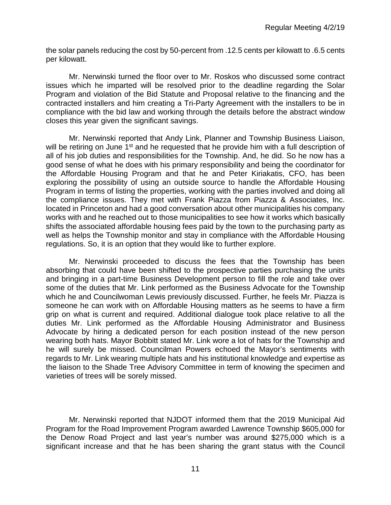the solar panels reducing the cost by 50-percent from .12.5 cents per kilowatt to .6.5 cents per kilowatt.

Mr. Nerwinski turned the floor over to Mr. Roskos who discussed some contract issues which he imparted will be resolved prior to the deadline regarding the Solar Program and violation of the Bid Statute and Proposal relative to the financing and the contracted installers and him creating a Tri-Party Agreement with the installers to be in compliance with the bid law and working through the details before the abstract window closes this year given the significant savings.

Mr. Nerwinski reported that Andy Link, Planner and Township Business Liaison, will be retiring on June 1<sup>st</sup> and he requested that he provide him with a full description of all of his job duties and responsibilities for the Township. And, he did. So he now has a good sense of what he does with his primary responsibility and being the coordinator for the Affordable Housing Program and that he and Peter Kiriakatis, CFO, has been exploring the possibility of using an outside source to handle the Affordable Housing Program in terms of listing the properties, working with the parties involved and doing all the compliance issues. They met with Frank Piazza from Piazza & Associates, Inc. located in Princeton and had a good conversation about other municipalities his company works with and he reached out to those municipalities to see how it works which basically shifts the associated affordable housing fees paid by the town to the purchasing party as well as helps the Township monitor and stay in compliance with the Affordable Housing regulations. So, it is an option that they would like to further explore.

Mr. Nerwinski proceeded to discuss the fees that the Township has been absorbing that could have been shifted to the prospective parties purchasing the units and bringing in a part-time Business Development person to fill the role and take over some of the duties that Mr. Link performed as the Business Advocate for the Township which he and Councilwoman Lewis previously discussed. Further, he feels Mr. Piazza is someone he can work with on Affordable Housing matters as he seems to have a firm grip on what is current and required. Additional dialogue took place relative to all the duties Mr. Link performed as the Affordable Housing Administrator and Business Advocate by hiring a dedicated person for each position instead of the new person wearing both hats. Mayor Bobbitt stated Mr. Link wore a lot of hats for the Township and he will surely be missed. Councilman Powers echoed the Mayor's sentiments with regards to Mr. Link wearing multiple hats and his institutional knowledge and expertise as the liaison to the Shade Tree Advisory Committee in term of knowing the specimen and varieties of trees will be sorely missed.

Mr. Nerwinski reported that NJDOT informed them that the 2019 Municipal Aid Program for the Road Improvement Program awarded Lawrence Township \$605,000 for the Denow Road Project and last year's number was around \$275,000 which is a significant increase and that he has been sharing the grant status with the Council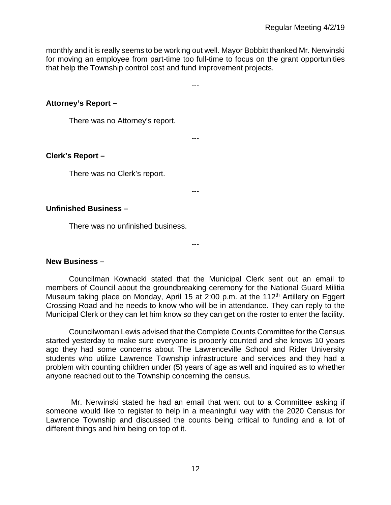monthly and it is really seems to be working out well. Mayor Bobbitt thanked Mr. Nerwinski for moving an employee from part-time too full-time to focus on the grant opportunities that help the Township control cost and fund improvement projects.

---

---

---

---

**Attorney's Report –**

There was no Attorney's report.

#### **Clerk's Report –**

There was no Clerk's report.

#### **Unfinished Business –**

There was no unfinished business.

#### **New Business –**

Councilman Kownacki stated that the Municipal Clerk sent out an email to members of Council about the groundbreaking ceremony for the National Guard Militia Museum taking place on Monday, April 15 at 2:00 p.m. at the 112<sup>th</sup> Artillery on Eggert Crossing Road and he needs to know who will be in attendance. They can reply to the Municipal Clerk or they can let him know so they can get on the roster to enter the facility.

Councilwoman Lewis advised that the Complete Counts Committee for the Census started yesterday to make sure everyone is properly counted and she knows 10 years ago they had some concerns about The Lawrenceville School and Rider University students who utilize Lawrence Township infrastructure and services and they had a problem with counting children under (5) years of age as well and inquired as to whether anyone reached out to the Township concerning the census.

Mr. Nerwinski stated he had an email that went out to a Committee asking if someone would like to register to help in a meaningful way with the 2020 Census for Lawrence Township and discussed the counts being critical to funding and a lot of different things and him being on top of it.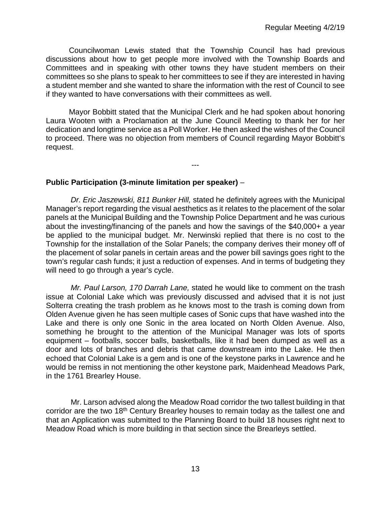Councilwoman Lewis stated that the Township Council has had previous discussions about how to get people more involved with the Township Boards and Committees and in speaking with other towns they have student members on their committees so she plans to speak to her committees to see if they are interested in having a student member and she wanted to share the information with the rest of Council to see if they wanted to have conversations with their committees as well.

Mayor Bobbitt stated that the Municipal Clerk and he had spoken about honoring Laura Wooten with a Proclamation at the June Council Meeting to thank her for her dedication and longtime service as a Poll Worker. He then asked the wishes of the Council to proceed. There was no objection from members of Council regarding Mayor Bobbitt's request.

---

## **Public Participation (3-minute limitation per speaker)** –

*Dr. Eric Jaszewski, 811 Bunker Hill,* stated he definitely agrees with the Municipal Manager's report regarding the visual aesthetics as it relates to the placement of the solar panels at the Municipal Building and the Township Police Department and he was curious about the investing/financing of the panels and how the savings of the \$40,000+ a year be applied to the municipal budget. Mr. Nerwinski replied that there is no cost to the Township for the installation of the Solar Panels; the company derives their money off of the placement of solar panels in certain areas and the power bill savings goes right to the town's regular cash funds; it just a reduction of expenses. And in terms of budgeting they will need to go through a year's cycle.

 *Mr. Paul Larson, 170 Darrah Lane,* stated he would like to comment on the trash issue at Colonial Lake which was previously discussed and advised that it is not just Solterra creating the trash problem as he knows most to the trash is coming down from Olden Avenue given he has seen multiple cases of Sonic cups that have washed into the Lake and there is only one Sonic in the area located on North Olden Avenue. Also, something he brought to the attention of the Municipal Manager was lots of sports equipment – footballs, soccer balls, basketballs, like it had been dumped as well as a door and lots of branches and debris that came downstream into the Lake. He then echoed that Colonial Lake is a gem and is one of the keystone parks in Lawrence and he would be remiss in not mentioning the other keystone park, Maidenhead Meadows Park, in the 1761 Brearley House.

Mr. Larson advised along the Meadow Road corridor the two tallest building in that corridor are the two 18<sup>th</sup> Century Brearley houses to remain today as the tallest one and that an Application was submitted to the Planning Board to build 18 houses right next to Meadow Road which is more building in that section since the Brearleys settled.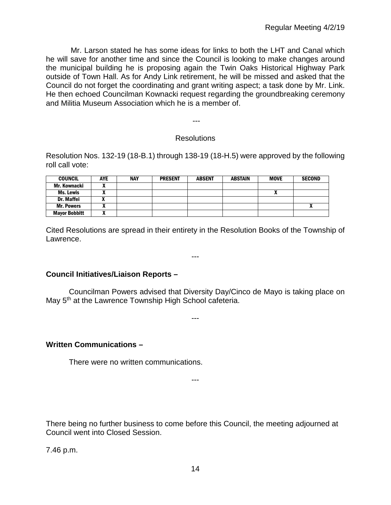Mr. Larson stated he has some ideas for links to both the LHT and Canal which he will save for another time and since the Council is looking to make changes around the municipal building he is proposing again the Twin Oaks Historical Highway Park outside of Town Hall. As for Andy Link retirement, he will be missed and asked that the Council do not forget the coordinating and grant writing aspect; a task done by Mr. Link. He then echoed Councilman Kownacki request regarding the groundbreaking ceremony and Militia Museum Association which he is a member of.

# Resolutions

---

Resolution Nos. 132-19 (18-B.1) through 138-19 (18-H.5) were approved by the following roll call vote:

| <b>COUNCIL</b>       | <b>AYE</b> | <b>NAY</b> | <b>PRESENT</b> | <b>ABSENT</b> | <b>ABSTAIN</b> | <b>MOVE</b>  | <b>SECOND</b> |
|----------------------|------------|------------|----------------|---------------|----------------|--------------|---------------|
| Mr. Kownacki         |            |            |                |               |                |              |               |
| Ms. Lewis            |            |            |                |               |                | $\mathbf{v}$ |               |
| <b>Dr. Maffei</b>    |            |            |                |               |                |              |               |
| <b>Mr. Powers</b>    |            |            |                |               |                |              |               |
| <b>Mayor Bobbitt</b> | ^          |            |                |               |                |              |               |

Cited Resolutions are spread in their entirety in the Resolution Books of the Township of Lawrence.

---

**Council Initiatives/Liaison Reports –**

Councilman Powers advised that Diversity Day/Cinco de Mayo is taking place on May 5<sup>th</sup> at the Lawrence Township High School cafeteria.

---

## **Written Communications –**

There were no written communications.

There being no further business to come before this Council, the meeting adjourned at Council went into Closed Session.

---

7.46 p.m.